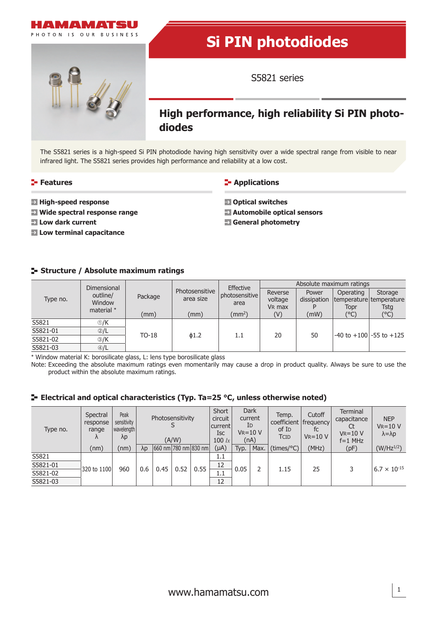

# **Si PIN photodiodes**

S5821 series

# **High performance, high reliability Si PIN photodiodes**

The S5821 series is a high-speed Si PIN photodiode having high sensitivity over a wide spectral range from visible to near infrared light. The S5821 series provides high performance and reliability at a low cost.

### **Features**

- **High-speed response**
- **Wide spectral response range**
- **Low dark current**
- **Low terminal capacitance**

# **Applications**

- **Optical switches**
- **Automobile optical sensors**
- **General photometry**

# **Structure / Absolute maximum ratings**

| Type no. | Dimensional<br>outline/<br>Window<br>material * | Package |                             | Effective              | Absolute maximum ratings |                      |           |                                    |  |
|----------|-------------------------------------------------|---------|-----------------------------|------------------------|--------------------------|----------------------|-----------|------------------------------------|--|
|          |                                                 |         | Photosensitive<br>area size | bhotosensitive<br>area | Reverse<br>voltage       | Power<br>dissipation | Operating | Storage<br>temperature temperature |  |
|          |                                                 |         |                             |                        | V <sub>R</sub> max       |                      | Topr      | Tsta                               |  |
|          |                                                 | (mm)    | (mm)                        | $\rm (mm^2)$           | (V)                      | (mW)                 | (°C)      | $(^{\circ}C)$                      |  |
| S5821    | $\odot$ /K                                      | $TO-18$ | $\phi$ 1.2                  | 1.1                    | 20                       | 50                   |           | $-40$ to $+100$ $-55$ to $+125$    |  |
| S5821-01 | $\mathcal{D}/L$                                 |         |                             |                        |                          |                      |           |                                    |  |
| S5821-02 | $\circledR$ /K                                  |         |                             |                        |                          |                      |           |                                    |  |
| S5821-03 | $\bigcirc$ /L                                   |         |                             |                        |                          |                      |           |                                    |  |

\* Window material K: borosilicate glass, L: lens type borosilicate glass

Note: Exceeding the absolute maximum ratings even momentarily may cause a drop in product quality. Always be sure to use the product within the absolute maximum ratings.

# **Electrical and optical characteristics (Typ. Ta=25 °C, unless otherwise noted)**

| Type no. | Spectral<br>response<br>range<br>Λ | Peak<br>sensitivity<br>wavelength<br>$\lambda p$ | Photosensitivity<br>(A/W) |                      | Short<br>circuit<br> current <br>Isc<br>100 $ x $ | <b>Dark</b><br>current<br>ID<br>$V_R = 10 V$<br>(nA) |           | Temp.<br>coefficient frequency<br>of I <sub>D</sub><br><b>TCID</b> | Cutoff<br>fc<br>$V_R = 10 V$ | Terminal<br>capacitance<br>Ct<br>$V_R = 10 V$<br>$f=1$ MHz | <b>NEP</b><br>$V_R = 10 V$<br>$\lambda = \lambda p$ |      |                       |
|----------|------------------------------------|--------------------------------------------------|---------------------------|----------------------|---------------------------------------------------|------------------------------------------------------|-----------|--------------------------------------------------------------------|------------------------------|------------------------------------------------------------|-----------------------------------------------------|------|-----------------------|
|          | (nm)                               | (nm)                                             | $\lambda p$               | 660 nm 780 nm 830 nm |                                                   |                                                      | $(\mu A)$ | Typ.                                                               | Max.                         | (times/C)                                                  | (MHz)                                               | (pF) | $(W/Hz^{1/2})$        |
| S5821    |                                    |                                                  |                           |                      |                                                   |                                                      | 1.1       |                                                                    |                              |                                                            |                                                     |      |                       |
| S5821-01 | 320 to 1100                        |                                                  |                           | 0.45                 | 0.52                                              | 0.55                                                 | 12        | 0.05                                                               |                              |                                                            | 25                                                  |      | $6.7 \times 10^{-15}$ |
| S5821-02 |                                    | 960                                              | 0.6                       |                      |                                                   |                                                      | 1.1       |                                                                    |                              | 1.15                                                       |                                                     |      |                       |
| S5821-03 |                                    |                                                  |                           |                      |                                                   |                                                      | 12        |                                                                    |                              |                                                            |                                                     |      |                       |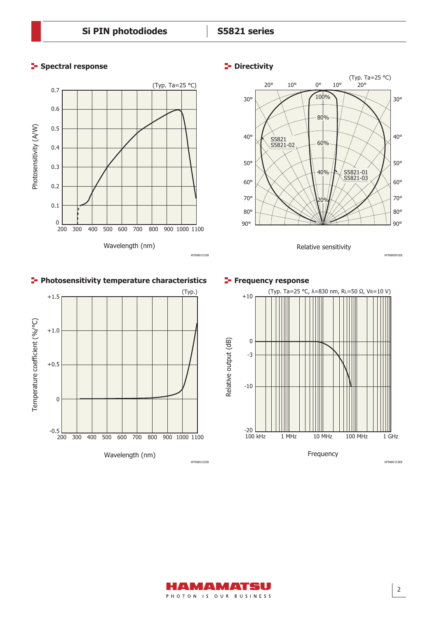





Relative sensitivity







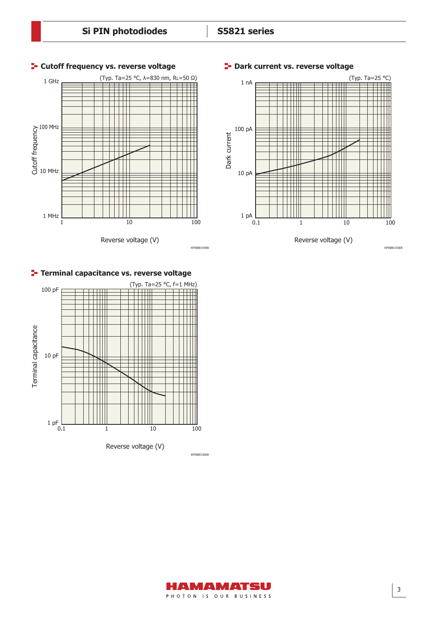

# **Cutoff frequency vs. reverse voltage <b>CE** Dark current vs. reverse voltage





# **Terminal capacitance vs. reverse voltage**



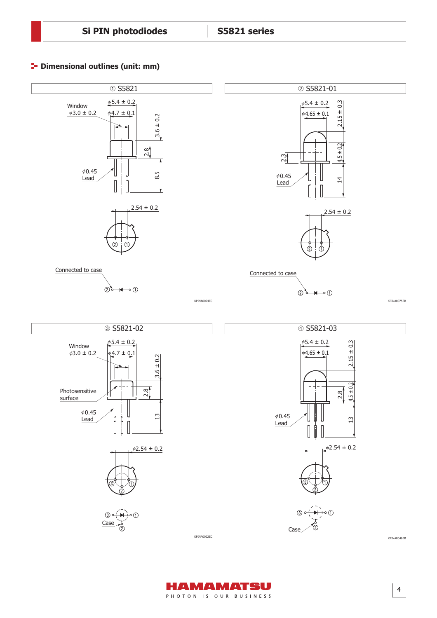# **<sup>1</sup>** Dimensional outlines (unit: mm)





4